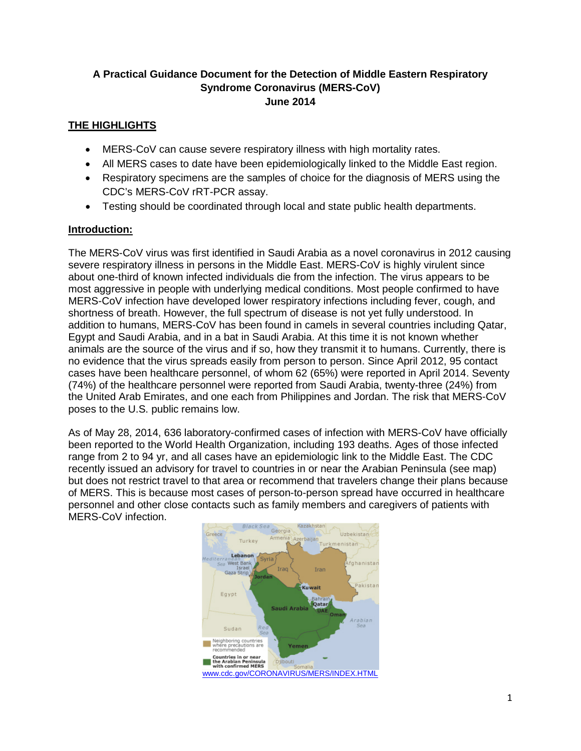## **A Practical Guidance Document for the Detection of Middle Eastern Respiratory Syndrome Coronavirus (MERS-CoV) June 2014**

# **THE HIGHLIGHTS**

- MERS-CoV can cause severe respiratory illness with high mortality rates.
- All MERS cases to date have been epidemiologically linked to the Middle East region.
- Respiratory specimens are the samples of choice for the diagnosis of MERS using the CDC's MERS-CoV rRT-PCR assay.
- Testing should be coordinated through local and state public health departments.

### **Introduction:**

The MERS-CoV virus was first identified in Saudi Arabia as a novel coronavirus in 2012 causing severe respiratory illness in persons in the Middle East. MERS-CoV is highly virulent since about one-third of known infected individuals die from the infection. The virus appears to be most aggressive in people with underlying medical conditions. Most people confirmed to have MERS-CoV infection have developed lower respiratory infections including fever, cough, and shortness of breath. However, the full spectrum of disease is not yet fully understood. In addition to humans, MERS-CoV has been found in camels in several countries including Qatar, Egypt and Saudi Arabia, and in a bat in Saudi Arabia. At this time it is not known whether animals are the source of the virus and if so, how they transmit it to humans. Currently, there is no evidence that the virus spreads easily from person to person. Since April 2012, 95 contact cases have been healthcare personnel, of whom 62 (65%) were reported in April 2014. Seventy (74%) of the healthcare personnel were reported from Saudi Arabia, twenty-three (24%) from the United Arab Emirates, and one each from Philippines and Jordan. The risk that MERS-CoV poses to the U.S. public remains low.

As of May 28, 2014, 636 laboratory-confirmed cases of infection with MERS-CoV have officially been reported to the World Health Organization, including 193 deaths. Ages of those infected range from 2 to 94 yr, and all cases have an epidemiologic link to the Middle East. The CDC recently issued an advisory for travel to countries in or near the Arabian Peninsula (see map) but does not restrict travel to that area or recommend that travelers change their plans because of MERS. This is because most cases of person-to-person spread have occurred in healthcare personnel and other close contacts such as family members and caregivers of patients with MERS-CoV infection.

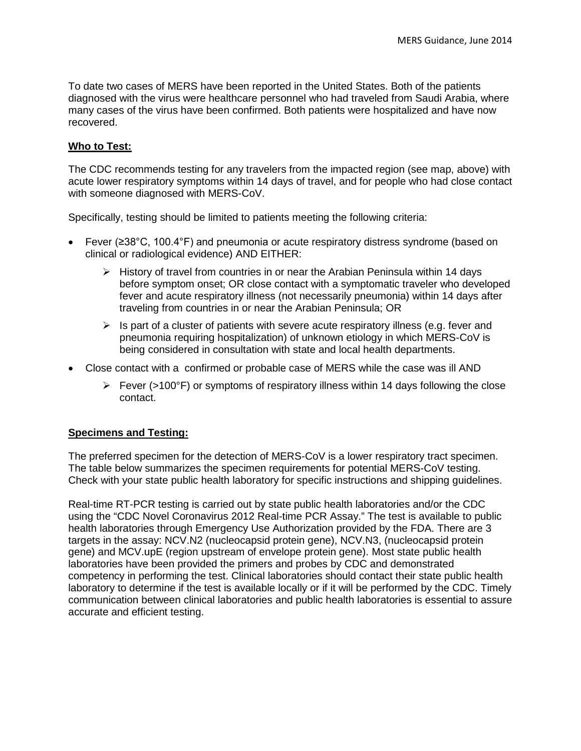To date two cases of MERS have been reported in the United States. Both of the patients diagnosed with the virus were healthcare personnel who had traveled from Saudi Arabia, where many cases of the virus have been confirmed. Both patients were hospitalized and have now recovered.

#### **Who to Test:**

The CDC recommends testing for any travelers from the impacted region (see map, above) with acute lower respiratory symptoms within 14 days of travel, and for people who had close contact with someone diagnosed with MERS-CoV.

Specifically, testing should be limited to patients meeting the following criteria:

- Fever (≥38°C, 100.4°F) and pneumonia or acute respiratory distress syndrome (based on clinical or radiological evidence) AND EITHER:
	- $\triangleright$  History of travel from countries in or near the Arabian Peninsula within 14 days before symptom onset; OR close contact with a symptomatic traveler who developed fever and acute respiratory illness (not necessarily pneumonia) within 14 days after traveling from countries in or near the Arabian Peninsula; OR
	- $\triangleright$  Is part of a cluster of patients with severe acute respiratory illness (e.g. fever and pneumonia requiring hospitalization) of unknown etiology in which MERS-CoV is being considered in consultation with state and local health departments.
- Close contact with a confirmed or probable case of MERS while the case was ill AND
	- $\triangleright$  Fever (>100°F) or symptoms of respiratory illness within 14 days following the close contact.

#### **Specimens and Testing:**

The preferred specimen for the detection of MERS-CoV is a lower respiratory tract specimen. The table below summarizes the specimen requirements for potential MERS-CoV testing. Check with your state public health laboratory for specific instructions and shipping guidelines.

Real-time RT-PCR testing is carried out by state public health laboratories and/or the CDC using the "CDC Novel Coronavirus 2012 Real-time PCR Assay." The test is available to public health laboratories through Emergency Use Authorization provided by the FDA. There are 3 targets in the assay: NCV.N2 (nucleocapsid protein gene), NCV.N3, (nucleocapsid protein gene) and MCV.upE (region upstream of envelope protein gene). Most state public health laboratories have been provided the primers and probes by CDC and demonstrated competency in performing the test. Clinical laboratories should contact their state public health laboratory to determine if the test is available locally or if it will be performed by the CDC. Timely communication between clinical laboratories and public health laboratories is essential to assure accurate and efficient testing.